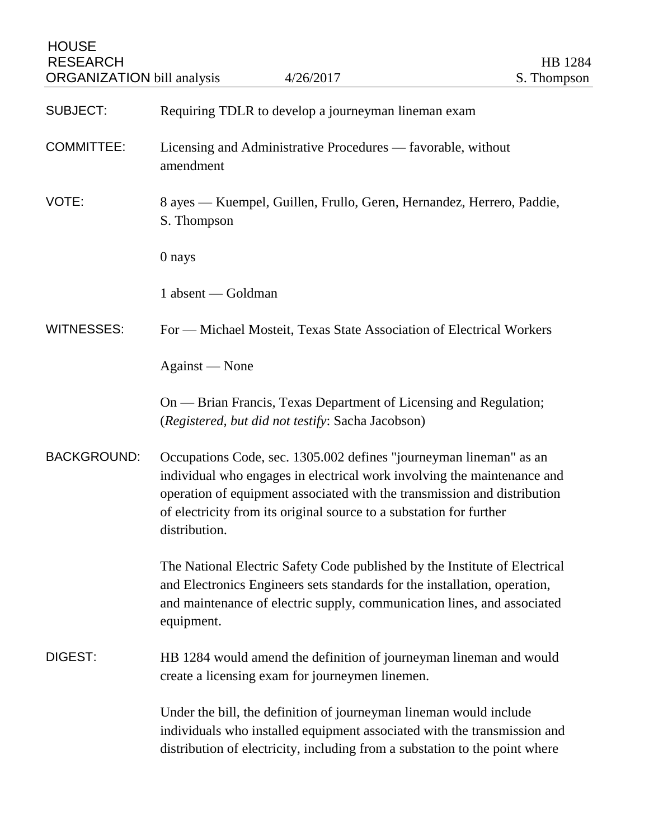| <b>HOUSE</b><br><b>RESEARCH</b><br><b>ORGANIZATION</b> bill analysis | 4/26/2017                                                                                                                                                                                                                                                                                                         | HB 1284<br>S. Thompson |
|----------------------------------------------------------------------|-------------------------------------------------------------------------------------------------------------------------------------------------------------------------------------------------------------------------------------------------------------------------------------------------------------------|------------------------|
| <b>SUBJECT:</b>                                                      | Requiring TDLR to develop a journeyman lineman exam                                                                                                                                                                                                                                                               |                        |
| <b>COMMITTEE:</b>                                                    | Licensing and Administrative Procedures — favorable, without<br>amendment                                                                                                                                                                                                                                         |                        |
| VOTE:                                                                | 8 ayes — Kuempel, Guillen, Frullo, Geren, Hernandez, Herrero, Paddie,<br>S. Thompson                                                                                                                                                                                                                              |                        |
|                                                                      | 0 nays                                                                                                                                                                                                                                                                                                            |                        |
|                                                                      | 1 absent — Goldman                                                                                                                                                                                                                                                                                                |                        |
| <b>WITNESSES:</b>                                                    | For — Michael Mosteit, Texas State Association of Electrical Workers                                                                                                                                                                                                                                              |                        |
|                                                                      | Against — None                                                                                                                                                                                                                                                                                                    |                        |
|                                                                      | On — Brian Francis, Texas Department of Licensing and Regulation;<br>(Registered, but did not testify: Sacha Jacobson)                                                                                                                                                                                            |                        |
| <b>BACKGROUND:</b>                                                   | Occupations Code, sec. 1305.002 defines "journeyman lineman" as an<br>individual who engages in electrical work involving the maintenance and<br>operation of equipment associated with the transmission and distribution<br>of electricity from its original source to a substation for further<br>distribution. |                        |
|                                                                      | The National Electric Safety Code published by the Institute of Electrical<br>and Electronics Engineers sets standards for the installation, operation,<br>and maintenance of electric supply, communication lines, and associated<br>equipment.                                                                  |                        |
| DIGEST:                                                              | HB 1284 would amend the definition of journeyman lineman and would<br>create a licensing exam for journeymen linemen.                                                                                                                                                                                             |                        |
|                                                                      | Under the bill, the definition of journeyman lineman would include<br>individuals who installed equipment associated with the transmission and<br>distribution of electricity, including from a substation to the point where                                                                                     |                        |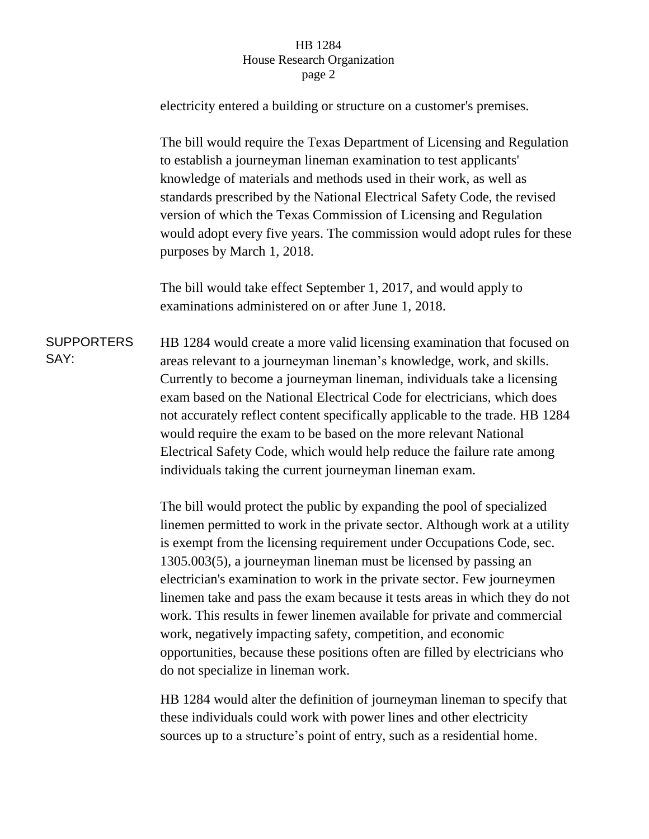## HB 1284 House Research Organization page 2

electricity entered a building or structure on a customer's premises.

The bill would require the Texas Department of Licensing and Regulation to establish a journeyman lineman examination to test applicants' knowledge of materials and methods used in their work, as well as standards prescribed by the National Electrical Safety Code, the revised version of which the Texas Commission of Licensing and Regulation would adopt every five years. The commission would adopt rules for these purposes by March 1, 2018.

The bill would take effect September 1, 2017, and would apply to examinations administered on or after June 1, 2018.

**SUPPORTERS** SAY: HB 1284 would create a more valid licensing examination that focused on areas relevant to a journeyman lineman's knowledge, work, and skills. Currently to become a journeyman lineman, individuals take a licensing exam based on the National Electrical Code for electricians, which does not accurately reflect content specifically applicable to the trade. HB 1284 would require the exam to be based on the more relevant National Electrical Safety Code, which would help reduce the failure rate among individuals taking the current journeyman lineman exam.

> The bill would protect the public by expanding the pool of specialized linemen permitted to work in the private sector. Although work at a utility is exempt from the licensing requirement under Occupations Code, sec. 1305.003(5), a journeyman lineman must be licensed by passing an electrician's examination to work in the private sector. Few journeymen linemen take and pass the exam because it tests areas in which they do not work. This results in fewer linemen available for private and commercial work, negatively impacting safety, competition, and economic opportunities, because these positions often are filled by electricians who do not specialize in lineman work.

> HB 1284 would alter the definition of journeyman lineman to specify that these individuals could work with power lines and other electricity sources up to a structure's point of entry, such as a residential home.